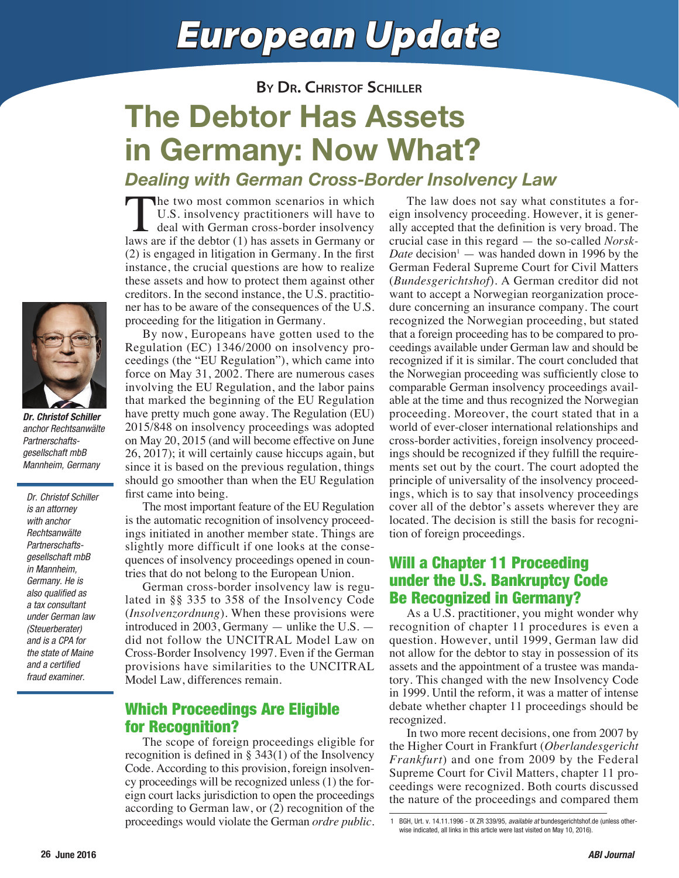# *European Update*

**By Dr. Christof Schiller**

# The Debtor Has Assets in Germany: Now What?

# *Dealing with German Cross-Border Insolvency Law*

The two most common scenarios in which U.S. insolvency practitioners will have to deal with German cross-border insolvency laws are if the debtor (1) has assets in Germany or (2) is engaged in litigation in Germany. In the first instance, the crucial questions are how to realize these assets and how to protect them against other creditors. In the second instance, the U.S. practitioner has to be aware of the consequences of the U.S. proceeding for the litigation in Germany.



*Dr. Christof Schiller anchor Rechtsanwälte Partnerschaftsgesellschaft mbB Mannheim, Germany*

*Dr. Christof Schiller is an attorney with anchor Rechtsanwälte Partnerschaftsgesellschaft mbB in Mannheim, Germany. He is also qualified as a tax consultant under German law (Steuerberater) and is a CPA for the state of Maine and a certified fraud examiner.*

By now, Europeans have gotten used to the Regulation (EC) 1346/2000 on insolvency proceedings (the "EU Regulation"), which came into force on May 31, 2002. There are numerous cases involving the EU Regulation, and the labor pains that marked the beginning of the EU Regulation have pretty much gone away. The Regulation (EU) 2015/848 on insolvency proceedings was adopted on May 20, 2015 (and will become effective on June 26, 2017); it will certainly cause hiccups again, but since it is based on the previous regulation, things should go smoother than when the EU Regulation first came into being.

The most important feature of the EU Regulation is the automatic recognition of insolvency proceedings initiated in another member state. Things are slightly more difficult if one looks at the consequences of insolvency proceedings opened in countries that do not belong to the European Union.

German cross-border insolvency law is regulated in §§ 335 to 358 of the Insolvency Code (*Insolvenzordnung*). When these provisions were introduced in 2003, Germany — unlike the U.S. did not follow the UNCITRAL Model Law on Cross-Border Insolvency 1997. Even if the German provisions have similarities to the UNCITRAL Model Law, differences remain.

# Which Proceedings Are Eligible for Recognition?

The scope of foreign proceedings eligible for recognition is defined in § 343(1) of the Insolvency Code. According to this provision, foreign insolvency proceedings will be recognized unless (1) the foreign court lacks jurisdiction to open the proceedings according to German law, or (2) recognition of the proceedings would violate the German *ordre public*.

The law does not say what constitutes a foreign insolvency proceeding. However, it is generally accepted that the definition is very broad. The crucial case in this regard — the so-called *Norsk-Date* decision<sup>1</sup> — was handed down in 1996 by the German Federal Supreme Court for Civil Matters (*Bundesgerichtshof*). A German creditor did not want to accept a Norwegian reorganization procedure concerning an insurance company. The court recognized the Norwegian proceeding, but stated that a foreign proceeding has to be compared to proceedings available under German law and should be recognized if it is similar. The court concluded that the Norwegian proceeding was sufficiently close to comparable German insolvency proceedings available at the time and thus recognized the Norwegian proceeding. Moreover, the court stated that in a world of ever-closer international relationships and cross-border activities, foreign insolvency proceedings should be recognized if they fulfill the requirements set out by the court. The court adopted the principle of universality of the insolvency proceedings, which is to say that insolvency proceedings cover all of the debtor's assets wherever they are located. The decision is still the basis for recognition of foreign proceedings.

# Will a Chapter 11 Proceeding under the U.S. Bankruptcy Code Be Recognized in Germany?

As a U.S. practitioner, you might wonder why recognition of chapter 11 procedures is even a question. However, until 1999, German law did not allow for the debtor to stay in possession of its assets and the appointment of a trustee was mandatory. This changed with the new Insolvency Code in 1999. Until the reform, it was a matter of intense debate whether chapter 11 proceedings should be recognized.

In two more recent decisions, one from 2007 by the Higher Court in Frankfurt (*Oberlandesgericht Frankfurt*) and one from 2009 by the Federal Supreme Court for Civil Matters, chapter 11 proceedings were recognized. Both courts discussed the nature of the proceedings and compared them

<sup>1</sup> BGH, Urt. v. 14.11.1996 - IX ZR 339/95, *available at* bundesgerichtshof.de (unless otherwise indicated, all links in this article were last visited on May 10, 2016).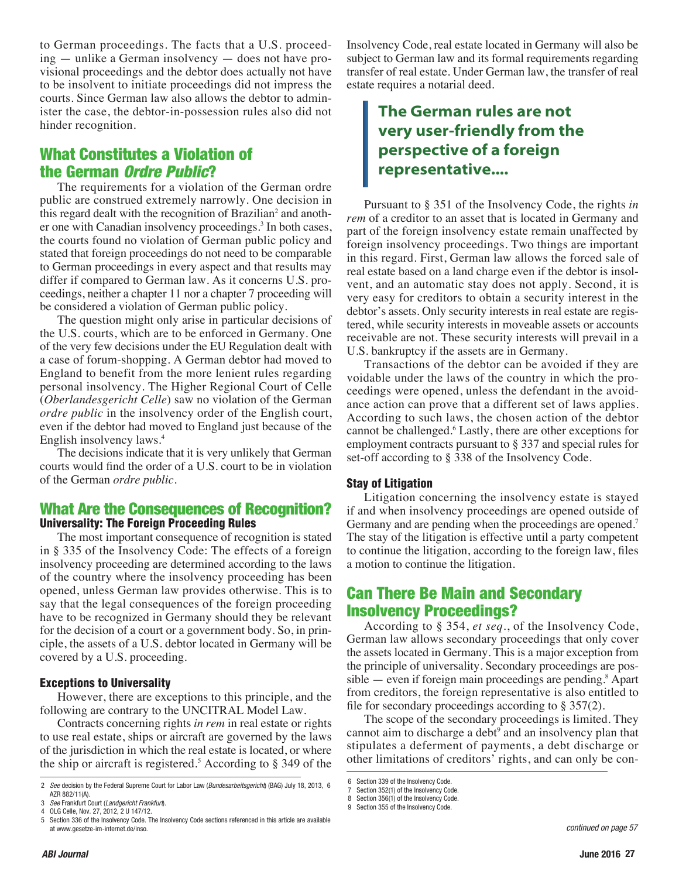to German proceedings. The facts that a U.S. proceeding — unlike a German insolvency — does not have provisional proceedings and the debtor does actually not have to be insolvent to initiate proceedings did not impress the courts. Since German law also allows the debtor to administer the case, the debtor-in-possession rules also did not hinder recognition.

# What Constitutes a Violation of the German *Ordre Public*?

The requirements for a violation of the German ordre public are construed extremely narrowly. One decision in this regard dealt with the recognition of Brazilian<sup>2</sup> and another one with Canadian insolvency proceedings.<sup>3</sup> In both cases, the courts found no violation of German public policy and stated that foreign proceedings do not need to be comparable to German proceedings in every aspect and that results may differ if compared to German law. As it concerns U.S. proceedings, neither a chapter 11 nor a chapter 7 proceeding will be considered a violation of German public policy.

The question might only arise in particular decisions of the U.S. courts, which are to be enforced in Germany. One of the very few decisions under the EU Regulation dealt with a case of forum-shopping. A German debtor had moved to England to benefit from the more lenient rules regarding personal insolvency. The Higher Regional Court of Celle (*Oberlandesgericht Celle*) saw no violation of the German *ordre public* in the insolvency order of the English court, even if the debtor had moved to England just because of the English insolvency laws.<sup>4</sup>

The decisions indicate that it is very unlikely that German courts would find the order of a U.S. court to be in violation of the German *ordre public*.

## What Are the Consequences of Recognition? Universality: The Foreign Proceeding Rules

The most important consequence of recognition is stated in § 335 of the Insolvency Code: The effects of a foreign insolvency proceeding are determined according to the laws of the country where the insolvency proceeding has been opened, unless German law provides otherwise. This is to say that the legal consequences of the foreign proceeding have to be recognized in Germany should they be relevant for the decision of a court or a government body. So, in principle, the assets of a U.S. debtor located in Germany will be covered by a U.S. proceeding.

### Exceptions to Universality

However, there are exceptions to this principle, and the following are contrary to the UNCITRAL Model Law.

Contracts concerning rights *in rem* in real estate or rights to use real estate, ships or aircraft are governed by the laws of the jurisdiction in which the real estate is located, or where the ship or aircraft is registered.<sup>5</sup> According to  $\S 349$  of the Insolvency Code, real estate located in Germany will also be subject to German law and its formal requirements regarding transfer of real estate. Under German law, the transfer of real estate requires a notarial deed.

# **The German rules are not very user-friendly from the perspective of a foreign representative....**

Pursuant to § 351 of the Insolvency Code, the rights *in rem* of a creditor to an asset that is located in Germany and part of the foreign insolvency estate remain unaffected by foreign insolvency proceedings. Two things are important in this regard. First, German law allows the forced sale of real estate based on a land charge even if the debtor is insolvent, and an automatic stay does not apply. Second, it is very easy for creditors to obtain a security interest in the debtor's assets. Only security interests in real estate are registered, while security interests in moveable assets or accounts receivable are not. These security interests will prevail in a U.S. bankruptcy if the assets are in Germany.

Transactions of the debtor can be avoided if they are voidable under the laws of the country in which the proceedings were opened, unless the defendant in the avoidance action can prove that a different set of laws applies. According to such laws, the chosen action of the debtor cannot be challenged.<sup>6</sup> Lastly, there are other exceptions for employment contracts pursuant to § 337 and special rules for set-off according to § 338 of the Insolvency Code.

### Stay of Litigation

Litigation concerning the insolvency estate is stayed if and when insolvency proceedings are opened outside of Germany and are pending when the proceedings are opened.<sup>7</sup> The stay of the litigation is effective until a party competent to continue the litigation, according to the foreign law, files a motion to continue the litigation.

# Can There Be Main and Secondary Insolvency Proceedings?

According to § 354, *et seq.*, of the Insolvency Code, German law allows secondary proceedings that only cover the assets located in Germany. This is a major exception from the principle of universality. Secondary proceedings are pos $sible$  — even if foreign main proceedings are pending.<sup>8</sup> Apart from creditors, the foreign representative is also entitled to file for secondary proceedings according to  $\S 357(2)$ .

The scope of the secondary proceedings is limited. They cannot aim to discharge a debt<sup>9</sup> and an insolvency plan that stipulates a deferment of payments, a debt discharge or other limitations of creditors' rights, and can only be con-

<sup>2</sup> *See* decision by the Federal Supreme Court for Labor Law (*Bundesarbeitsgericht*) (BAG) July 18, 2013, 6 AZR 882/11(A). 3 *See* Frankfurt Court (*Landgericht Frankfurt*).

<sup>4</sup> OLG Celle, Nov. 27, 2012, 2 U 147/12.

<sup>5</sup> Section 336 of the Insolvency Code. The Insolvency Code sections referenced in this article are available at www.gesetze-im-internet.de/inso.

<sup>6</sup> Section 339 of the Insolvency Code.

<sup>7</sup> Section 352(1) of the Insolvency Code. 8 Section 356(1) of the Insolvency Code.

<sup>9</sup> Section 355 of the Insolvency Code.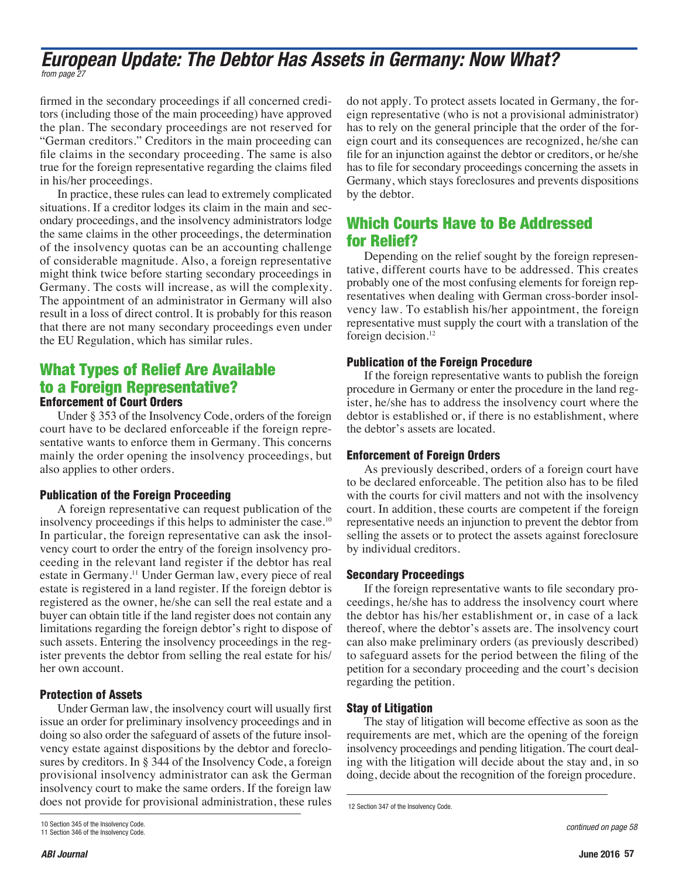## *European Update: The Debtor Has Assets in Germany: Now What? from page 27*

firmed in the secondary proceedings if all concerned creditors (including those of the main proceeding) have approved the plan. The secondary proceedings are not reserved for "German creditors." Creditors in the main proceeding can file claims in the secondary proceeding. The same is also true for the foreign representative regarding the claims filed in his/her proceedings.

In practice, these rules can lead to extremely complicated situations. If a creditor lodges its claim in the main and secondary proceedings, and the insolvency administrators lodge the same claims in the other proceedings, the determination of the insolvency quotas can be an accounting challenge of considerable magnitude. Also, a foreign representative might think twice before starting secondary proceedings in Germany. The costs will increase, as will the complexity. The appointment of an administrator in Germany will also result in a loss of direct control. It is probably for this reason that there are not many secondary proceedings even under the EU Regulation, which has similar rules.

## What Types of Relief Are Available to a Foreign Representative? Enforcement of Court Orders

Under § 353 of the Insolvency Code, orders of the foreign court have to be declared enforceable if the foreign representative wants to enforce them in Germany. This concerns mainly the order opening the insolvency proceedings, but also applies to other orders.

## Publication of the Foreign Proceeding

A foreign representative can request publication of the insolvency proceedings if this helps to administer the case.<sup>10</sup> In particular, the foreign representative can ask the insolvency court to order the entry of the foreign insolvency proceeding in the relevant land register if the debtor has real estate in Germany.11 Under German law, every piece of real estate is registered in a land register. If the foreign debtor is registered as the owner, he/she can sell the real estate and a buyer can obtain title if the land register does not contain any limitations regarding the foreign debtor's right to dispose of such assets. Entering the insolvency proceedings in the register prevents the debtor from selling the real estate for his/ her own account.

## Protection of Assets

Under German law, the insolvency court will usually first issue an order for preliminary insolvency proceedings and in doing so also order the safeguard of assets of the future insolvency estate against dispositions by the debtor and foreclosures by creditors. In § 344 of the Insolvency Code, a foreign provisional insolvency administrator can ask the German insolvency court to make the same orders. If the foreign law does not provide for provisional administration, these rules

<sup>11</sup> Section 346 of the Insolvency Code. *continued on page 58*

do not apply. To protect assets located in Germany, the foreign representative (who is not a provisional administrator) has to rely on the general principle that the order of the foreign court and its consequences are recognized, he/she can file for an injunction against the debtor or creditors, or he/she has to file for secondary proceedings concerning the assets in Germany, which stays foreclosures and prevents dispositions by the debtor.

## Which Courts Have to Be Addressed for Relief?

Depending on the relief sought by the foreign representative, different courts have to be addressed. This creates probably one of the most confusing elements for foreign representatives when dealing with German cross-border insolvency law. To establish his/her appointment, the foreign representative must supply the court with a translation of the foreign decision. $12$ 

### Publication of the Foreign Procedure

If the foreign representative wants to publish the foreign procedure in Germany or enter the procedure in the land register, he/she has to address the insolvency court where the debtor is established or, if there is no establishment, where the debtor's assets are located.

### Enforcement of Foreign Orders

As previously described, orders of a foreign court have to be declared enforceable. The petition also has to be filed with the courts for civil matters and not with the insolvency court. In addition, these courts are competent if the foreign representative needs an injunction to prevent the debtor from selling the assets or to protect the assets against foreclosure by individual creditors.

### Secondary Proceedings

If the foreign representative wants to file secondary proceedings, he/she has to address the insolvency court where the debtor has his/her establishment or, in case of a lack thereof, where the debtor's assets are. The insolvency court can also make preliminary orders (as previously described) to safeguard assets for the period between the filing of the petition for a secondary proceeding and the court's decision regarding the petition.

### Stay of Litigation

The stay of litigation will become effective as soon as the requirements are met, which are the opening of the foreign insolvency proceedings and pending litigation. The court dealing with the litigation will decide about the stay and, in so doing, decide about the recognition of the foreign procedure.

<sup>10</sup> Section 345 of the Insolvency Code.

<sup>12</sup> Section 347 of the Insolvency Code.